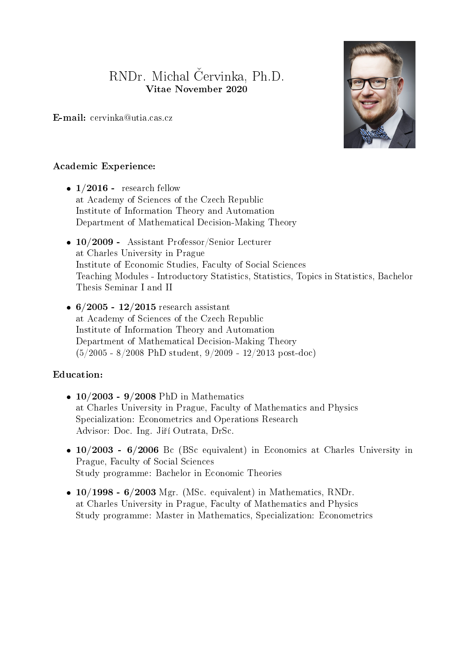# RNDr. Michal Červinka, Ph.D. Vitae November 2020

E-mail: cervinka@utia.cas.cz



## Academic Experience:

- $\bullet$  1/2016 research fellow at Academy of Sciences of the Czech Republic Institute of Information Theory and Automation Department of Mathematical Decision-Making Theory
- 10/2009 Assistant Professor/Senior Lecturer at Charles University in Prague Institute of Economic Studies, Faculty of Social Sciences Teaching Modules - Introductory Statistics, Statistics, Topics in Statistics, Bachelor Thesis Seminar I and II
- $\bullet$  6/2005 12/2015 research assistant at Academy of Sciences of the Czech Republic Institute of Information Theory and Automation Department of Mathematical Decision-Making Theory (5/2005 - 8/2008 PhD student, 9/2009 - 12/2013 post-doc)

### Education:

- $\bullet$  10/2003 9/2008 PhD in Mathematics at Charles University in Prague, Faculty of Mathematics and Physics Specialization: Econometrics and Operations Research Advisor: Doc. Ing. Jiří Outrata, DrSc.
- $\bullet$  10/2003 6/2006 Bc (BSc equivalent) in Economics at Charles University in Prague, Faculty of Social Sciences Study programme: Bachelor in Economic Theories
- $\bullet$  10/1998 6/2003 Mgr. (MSc. equivalent) in Mathematics, RNDr. at Charles University in Prague, Faculty of Mathematics and Physics Study programme: Master in Mathematics, Specialization: Econometrics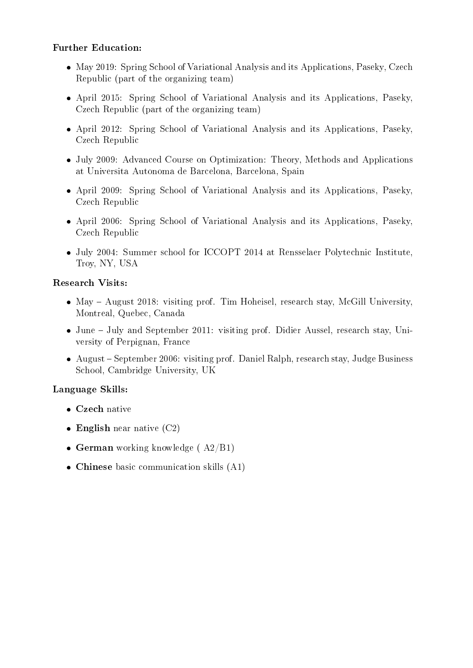## Further Education:

- May 2019: Spring School of Variational Analysis and its Applications, Paseky, Czech Republic (part of the organizing team)
- April 2015: Spring School of Variational Analysis and its Applications, Paseky, Czech Republic (part of the organizing team)
- April 2012: Spring School of Variational Analysis and its Applications, Paseky, Czech Republic
- July 2009: Advanced Course on Optimization: Theory, Methods and Applications at Universita Autonoma de Barcelona, Barcelona, Spain
- April 2009: Spring School of Variational Analysis and its Applications, Paseky, Czech Republic
- April 2006: Spring School of Variational Analysis and its Applications, Paseky, Czech Republic
- July 2004: Summer school for ICCOPT 2014 at Rensselaer Polytechnic Institute, Troy, NY, USA

## Research Visits:

- May August 2018: visiting prof. Tim Hoheisel, research stay, McGill University, Montreal, Quebec, Canada
- June July and September 2011: visiting prof. Didier Aussel, research stay, University of Perpignan, France
- August September 2006: visiting prof. Daniel Ralph, research stay, Judge Business School, Cambridge University, UK

### Language Skills:

- Czech native
- $\bullet$  English near native (C2)
- German working knowledge  $(A2/B1)$
- Chinese basic communication skills (A1)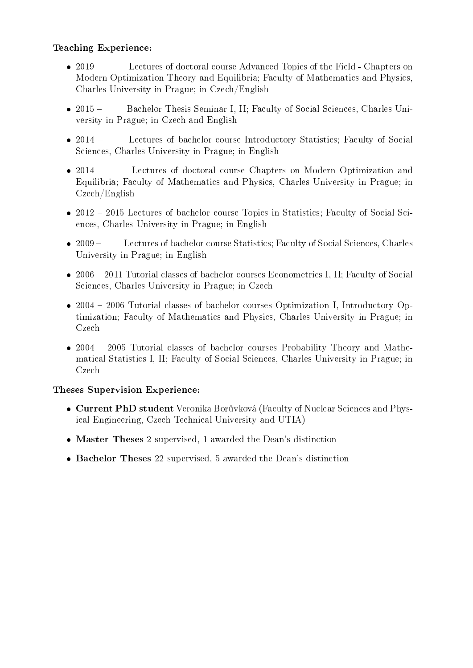## Teaching Experience:

- $2019$ Lectures of doctoral course Advanced Topics of the Field - Chapters on Modern Optimization Theory and Equilibria; Faculty of Mathematics and Physics, Charles University in Prague; in Czech/English
- $2015 -$ Bachelor Thesis Seminar I, II; Faculty of Social Sciences, Charles University in Prague; in Czech and English
- $2014 -$ Lectures of bachelor course Introductory Statistics; Faculty of Social Sciences, Charles University in Prague; in English
- $2014$ Lectures of doctoral course Chapters on Modern Optimization and Equilibria; Faculty of Mathematics and Physics, Charles University in Prague; in Czech/English
- 2012 2015 Lectures of bachelor course Topics in Statistics; Faculty of Social Sciences, Charles University in Prague; in English
- $2009-$ Lectures of bachelor course Statistics; Faculty of Social Sciences, Charles University in Prague; in English
- 2006 2011 Tutorial classes of bachelor courses Econometrics I, II; Faculty of Social Sciences, Charles University in Prague; in Czech
- 2004 2006 Tutorial classes of bachelor courses Optimization I, Introductory Optimization; Faculty of Mathematics and Physics, Charles University in Prague; in Czech
- 2004 2005 Tutorial classes of bachelor courses Probability Theory and Mathematical Statistics I, II; Faculty of Social Sciences, Charles University in Prague; in Czech

### Theses Supervision Experience:

- Current PhD student Veronika Borůvková (Faculty of Nuclear Sciences and Physical Engineering, Czech Technical University and UTIA)
- Master Theses 2 supervised, 1 awarded the Dean's distinction
- Bachelor Theses 22 supervised, 5 awarded the Dean's distinction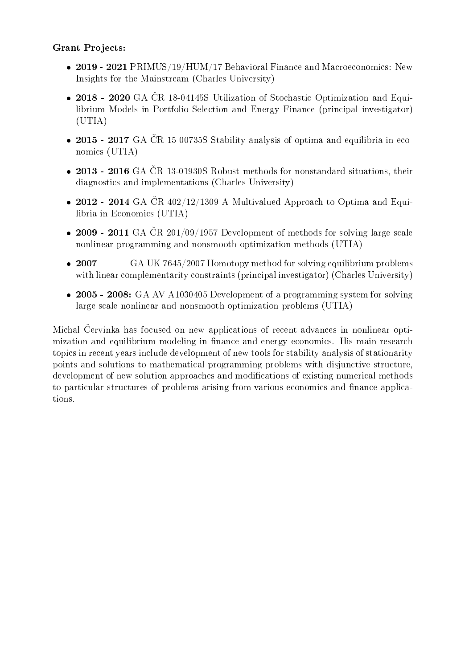## Grant Projects:

- 2019 2021 PRIMUS/19/HUM/17 Behavioral Finance and Macroeconomics: New Insights for the Mainstream (Charles University)
- $\bullet$  2018 2020 GA ČR 18-04145S Utilization of Stochastic Optimization and Equilibrium Models in Portfolio Selection and Energy Finance (principal investigator) (UTIA)
- 2015 2017 GA ČR 15-00735S Stability analysis of optima and equilibria in economics (UTIA)
- $\bullet$  2013 2016 GA ČR 13-01930S Robust methods for nonstandard situations, their diagnostics and implementations (Charles University)
- 2012 2014 GA ČR  $402/12/1309$  A Multivalued Approach to Optima and Equilibria in Economics (UTIA)
- 2009 2011 GA ČR  $201/09/1957$  Development of methods for solving large scale nonlinear programming and nonsmooth optimization methods (UTIA)
- $\bullet$  2007 GA UK 7645/2007 Homotopy method for solving equilibrium problems with linear complementarity constraints (principal investigator) (Charles University)
- 2005 2008: GA AV A1030405 Development of a programming system for solving large scale nonlinear and nonsmooth optimization problems (UTIA)

Michal Cervinka has focused on new applications of recent advances in nonlinear optimization and equilibrium modeling in finance and energy economics. His main research topics in recent years include development of new tools for stability analysis of stationarity points and solutions to mathematical programming problems with disjunctive structure, development of new solution approaches and modifications of existing numerical methods to particular structures of problems arising from various economics and finance applications.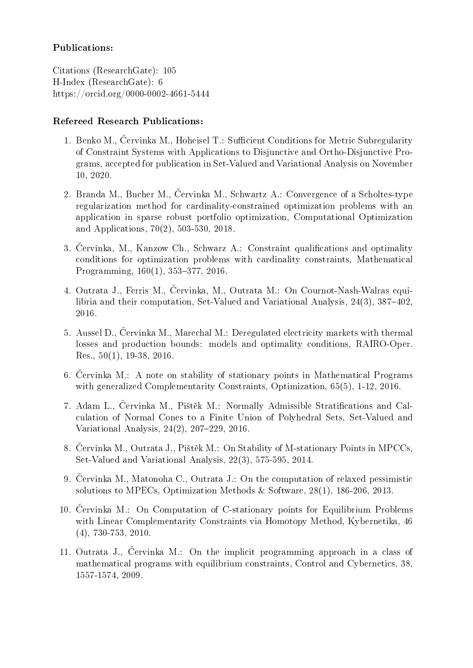## Publications:

Citations (ResearchGate): 105 H-Index (ResearchGate): 6 https://orcid.org/0000-0002-4661-5444

## Refereed Research Publications:

- 1. Benko M., Cervinka M., Hoheisel T.: Sufficient Conditions for Metric Subregularity of Constraint Systems with Applications to Disjunctive and Ortho-Disjunctive Programs, accepted for publication in Set-Valued and Variational Analysis on November 10, 2020.
- 2. Branda M., Bucher M., Cervinka M., Schwartz A.: Convergence of a Scholtes-type regularization method for cardinality-constrained optimization problems with an application in sparse robust portfolio optimization, Computational Optimization and Applications, 70(2), 503-530, 2018.
- 3. Červinka, M., Kanzow Ch., Schwarz A.: Constraint qualifications and optimality conditions for optimization problems with cardinality constraints, Mathematical Programming,  $160(1)$ ,  $353-377$ ,  $2016$ .
- 4. Outrata J., Ferris M., Červinka, M., Outrata M.: On Cournot-Nash-Walras equilibria and their computation, Set-Valued and Variational Analysis,  $24(3)$ ,  $387-402$ , 2016.
- 5. Aussel D., Cervinka M., Marechal M.: Deregulated electricity markets with thermal losses and production bounds: models and optimality conditions, RAIRO-Oper. Res., 50(1), 19-38, 2016.
- 6. Cervinka M.: A note on stability of stationary points in Mathematical Programs with generalized Complementarity Constraints, Optimization, 65(5), 1-12, 2016.
- 7. Adam L., Cervinka M., Pištěk M.: Normally Admissible Stratifications and Calculation of Normal Cones to a Finite Union of Polyhedral Sets, Set-Valued and Variational Analysis, 24(2), 207-229, 2016.
- 8. Červinka M., Outrata J., Pištěk M.: On Stability of M-stationary Points in MPCCs, Set-Valued and Variational Analysis, 22(3), 575-595, 2014.
- 9. Cervinka M., Matonoha C., Outrata J.: On the computation of relaxed pessimistic solutions to MPECs, Optimization Methods & Software, 28(1), 186-206, 2013.
- 10. Cervinka M.: On Computation of C-stationary points for Equilibrium Problems with Linear Complementarity Constraints via Homotopy Method, Kybernetika, 46 (4), 730-753, 2010.
- 11. Outrata J., Červinka M.: On the implicit programming approach in a class of mathematical programs with equilibrium constraints, Control and Cybernetics, 38, 1557-1574, 2009.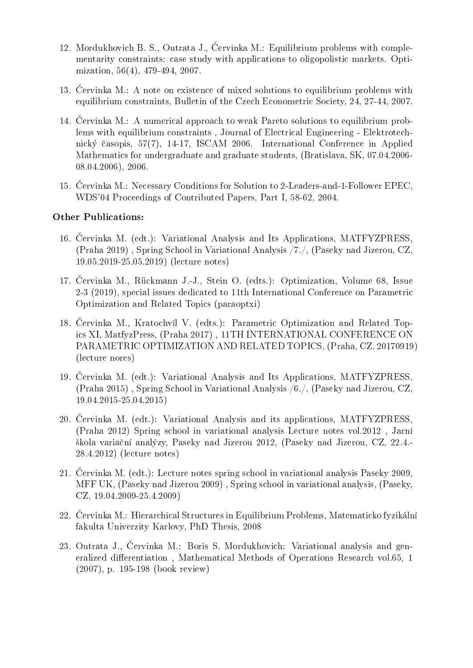- 12. Mordukhovich B. S., Outrata J., Červinka M.: Equilibrium problems with complementarity constraints: case study with applications to oligopolistic markets. Optimization, 56(4), 479-494, 2007.
- 13. Cervinka M.: A note on existence of mixed solutions to equilibrium problems with equilibrium constraints, Bulletin of the Czech Econometric Society, 24, 27-44, 2007.
- 14. Cervinka M.: A numerical approach to weak Pareto solutions to equilibrium problems with equilibrium constraints , Journal of Electrical Engineering - Elektrotechnický £asopis, 57(7), 14-17, ISCAM 2006. International Conference in Applied Mathematics for undergraduate and graduate students, (Bratislava, SK, 07.04.2006- 08.04.2006), 2006.
- 15. Cervinka M.: Necessary Conditions for Solution to 2-Leaders-and-1-Follower EPEC, WDS'04 Proceedings of Contributed Papers, Part I, 58-62, 2004.

#### Other Publications:

- 16. Cervinka M. (edt.): Variational Analysis and Its Applications, MATFYZPRESS, (Praha 2019) , Spring School in Variational Analysis /7./, (Paseky nad Jizerou, CZ, 19.05.2019-25.05.2019) (lecture notes)
- 17. Cervinka M., Rückmann J.-J., Stein O. (edts.): Optimization, Volume 68, Issue 2-3 (2019), special issues dedicated to 11th International Conference on Parametric Optimization and Related Topics (paraoptxi)
- 18. Cervinka M., Kratochvíl V. (edts.): Parametric Optimization and Related Topics XI, MatfyzPress, (Praha 2017) , 11TH INTERNATIONAL CONFERENCE ON PARAMETRIC OPTIMIZATION AND RELATED TOPICS, (Praha, CZ, 20170919) (lecture nores)
- 19. Cervinka M. (edt.): Variational Analysis and Its Applications, MATFYZPRESS, (Praha 2015) , Spring School in Variational Analysis /6./, (Paseky nad Jizerou, CZ, 19.04.2015-25.04.2015)
- 20. Cervinka M. (edt.): Variational Analysis and its applications, MATFYZPRESS, (Praha 2012) Spring school in variational analysis Lecture notes vol.2012 , Jarní ²kola varia£ní analýzy, Paseky nad Jizerou 2012, (Paseky nad Jizerou, CZ, 22.4.- 28.4.2012) (lecture notes)
- 21. Červinka M. (edt.): Lecture notes spring school in variational analysis Paseky 2009, MFF UK, (Paseky nad Jizerou 2009) , Spring school in variational analysis, (Paseky, CZ, 19.04.2009-25.4.2009)
- 22. Cervinka M.: Hierarchical Structures in Equilibrium Problems, Matematicko fyzikální fakulta Univerzity Karlovy, PhD Thesis, 2008
- 23. Outrata J., Červinka M.: Boris S. Mordukhovich: Variational analysis and generalized differentiation, Mathematical Methods of Operations Research vol.65, 1 (2007), p. 195-198 (book review)